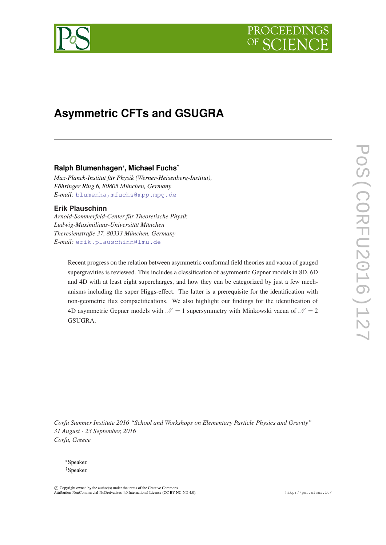# PROCEEDIN

# **Asymmetric CFTs and GSUGRA**

## **Ralph Blumenhagen**<sup>∗</sup> **, Michael Fuchs**†

*Max-Planck-Institut für Physik (Werner-Heisenberg-Institut), Föhringer Ring 6, 80805 München, Germany E-mail:* [blumenha,mfuchs@mpp.mpg.de](mailto:blumenha,mfuchs@mpp.mpg.de)

### **Erik Plauschinn**

*Arnold-Sommerfeld-Center für Theoretische Physik Ludwig-Maximilians-Universität München Theresienstraße 37, 80333 München, Germany E-mail:* [erik.plauschinn@lmu.de](mailto:erik.plauschinn@lmu.de)

> Recent progress on the relation between asymmetric conformal field theories and vacua of gauged supergravities is reviewed. This includes a classification of asymmetric Gepner models in 8D, 6D and 4D with at least eight supercharges, and how they can be categorized by just a few mechanisms including the super Higgs-effect. The latter is a prerequisite for the identification with non-geometric flux compactifications. We also highlight our findings for the identification of 4D asymmetric Gepner models with  $\mathcal{N} = 1$  supersymmetry with Minkowski vacua of  $\mathcal{N} = 2$ GSUGRA.

*Corfu Summer Institute 2016 "School and Workshops on Elementary Particle Physics and Gravity" 31 August - 23 September, 2016 Corfu, Greece*

<sup>∗</sup>Speaker. †Speaker.

 $\overline{c}$  Copyright owned by the author(s) under the terms of the Creative Common Attribution-NonCommercial-NoDerivatives 4.0 International License (CC BY-NC-ND 4.0). http://pos.sissa.it/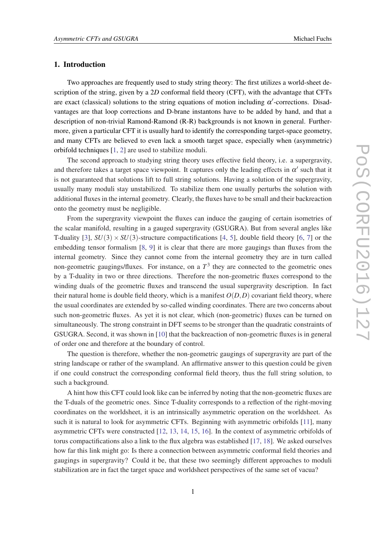#### 1. Introduction

Two approaches are frequently used to study string theory: The first utilizes a world-sheet description of the string, given by a 2*D* conformal field theory (CFT), with the advantage that CFTs are exact (classical) solutions to the string equations of motion including  $\alpha'$ -corrections. Disadvantages are that loop corrections and D-brane instantons have to be added by hand, and that a description of non-trivial Ramond-Ramond (R-R) backgrounds is not known in general. Furthermore, given a particular CFT it is usually hard to identify the corresponding target-space geometry, and many CFTs are believed to even lack a smooth target space, especially when (asymmetric) orbifold techniques [\[1,](#page-11-0) [2\]](#page-11-0) are used to stabilize moduli.

The second approach to studying string theory uses effective field theory, i.e. a supergravity, and therefore takes a target space viewpoint. It captures only the leading effects in  $\alpha'$  such that it is not guaranteed that solutions lift to full string solutions. Having a solution of the supergravity, usually many moduli stay unstabilized. To stabilize them one usually perturbs the solution with additional fluxes in the internal geometry. Clearly, the fluxes have to be small and their backreaction onto the geometry must be negligible.

From the supergravity viewpoint the fluxes can induce the gauging of certain isometries of the scalar manifold, resulting in a gauged supergravity (GSUGRA). But from several angles like T-duality [\[3\]](#page-11-0),  $SU(3) \times SU(3)$ -structure compactifications [[4](#page-11-0), [5](#page-11-0)], double field theory [[6](#page-11-0), [7\]](#page-11-0) or the embedding tensor formalism [\[8,](#page-11-0) [9\]](#page-11-0) it is clear that there are more gaugings than fluxes from the internal geometry. Since they cannot come from the internal geometry they are in turn called non-geometric gaugings/fluxes. For instance, on a  $T<sup>3</sup>$  they are connected to the geometric ones by a T-duality in two or three directions. Therefore the non-geometric fluxes correspond to the winding duals of the geometric fluxes and transcend the usual supergravity description. In fact their natural home is double field theory, which is a manifest  $O(D,D)$  covariant field theory, where the usual coordinates are extended by so-called winding coordinates. There are two concerns about such non-geometric fluxes. As yet it is not clear, which (non-geometric) fluxes can be turned on simultaneously. The strong constraint in DFT seems to be stronger than the quadratic constraints of GSUGRA. Second, it was shown in [[10\]](#page-11-0) that the backreaction of non-geometric fluxes is in general of order one and therefore at the boundary of control.

The question is therefore, whether the non-geometric gaugings of supergravity are part of the string landscape or rather of the swampland. An affirmative answer to this question could be given if one could construct the corresponding conformal field theory, thus the full string solution, to such a background.

A hint how this CFT could look like can be inferred by noting that the non-geometric fluxes are the T-duals of the geometric ones. Since T-duality corresponds to a reflection of the right-moving coordinates on the worldsheet, it is an intrinsically asymmetric operation on the worldsheet. As such it is natural to look for asymmetric CFTs. Beginning with asymmetric orbifolds [\[11](#page-11-0)], many asymmetric CFTs were constructed [\[12,](#page-11-0) [13](#page-11-0), [14,](#page-11-0) [15](#page-11-0), [16\]](#page-11-0). In the context of asymmetric orbifolds of torus compactifications also a link to the flux algebra was established [[17,](#page-11-0) [18](#page-11-0)]. We asked ourselves how far this link might go: Is there a connection between asymmetric conformal field theories and gaugings in supergravity? Could it be, that these two seemingly different approaches to moduli stabilization are in fact the target space and worldsheet perspectives of the same set of vacua?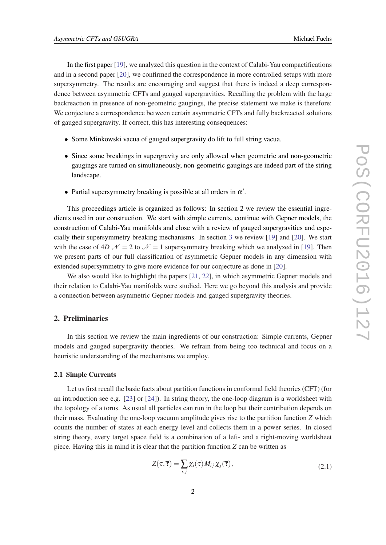In the first paper [[19\]](#page-11-0), we analyzed this question in the context of Calabi-Yau compactifications and in a second paper [\[20](#page-11-0)], we confirmed the correspondence in more controlled setups with more supersymmetry. The results are encouraging and suggest that there is indeed a deep correspondence between asymmetric CFTs and gauged supergravities. Recalling the problem with the large backreaction in presence of non-geometric gaugings, the precise statement we make is therefore: We conjecture a correspondence between certain asymmetric CFTs and fully backreacted solutions of gauged supergravity. If correct, this has interesting consequences:

- Some Minkowski vacua of gauged supergravity do lift to full string vacua.
- Since some breakings in supergravity are only allowed when geometric and non-geometric gaugings are turned on simultaneously, non-geometric gaugings are indeed part of the string landscape.
- Partial supersymmetry breaking is possible at all orders in  $\alpha'$ .

This proceedings article is organized as follows: In section 2 we review the essential ingredients used in our construction. We start with simple currents, continue with Gepner models, the construction of Calabi-Yau manifolds and close with a review of gauged supergravities and especially their supersymmetry breaking mechanisms. In section [3](#page-6-0) we review [[19\]](#page-11-0) and [[20\]](#page-11-0). We start with the case of  $4D\mathcal{N}=2$  to  $\mathcal{N}=1$  supersymmetry breaking which we analyzed in [\[19](#page-11-0)]. Then we present parts of our full classification of asymmetric Gepner models in any dimension with extended supersymmetry to give more evidence for our conjecture as done in [\[20](#page-11-0)].

We also would like to highlight the papers [\[21](#page-12-0), [22\]](#page-12-0), in which asymmetric Gepner models and their relation to Calabi-Yau manifolds were studied. Here we go beyond this analysis and provide a connection between asymmetric Gepner models and gauged supergravity theories.

#### 2. Preliminaries

In this section we review the main ingredients of our construction: Simple currents, Gepner models and gauged supergravity theories. We refrain from being too technical and focus on a heuristic understanding of the mechanisms we employ.

#### 2.1 Simple Currents

Let us first recall the basic facts about partition functions in conformal field theories (CFT) (for an introduction see e.g.  $[23]$  $[23]$  or  $[24]$  $[24]$  $[24]$ ). In string theory, the one-loop diagram is a worldsheet with the topology of a torus. As usual all particles can run in the loop but their contribution depends on their mass. Evaluating the one-loop vacuum amplitude gives rise to the partition function *Z* which counts the number of states at each energy level and collects them in a power series. In closed string theory, every target space field is a combination of a left- and a right-moving worldsheet piece. Having this in mind it is clear that the partition function *Z* can be written as

$$
Z(\tau,\overline{\tau}) = \sum_{i,j} \chi_i(\tau) M_{ij} \chi_j(\overline{\tau}), \qquad (2.1)
$$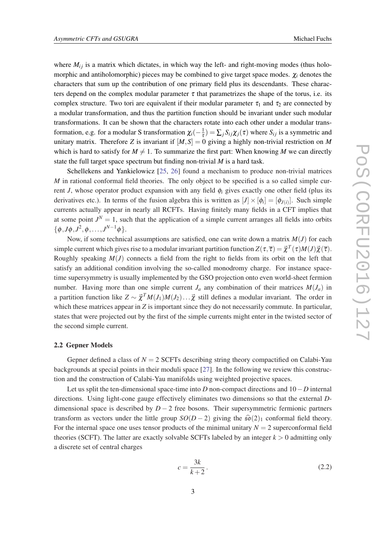characters that sum up the contribution of one primary field plus its descendants. These characters depend on the complex modular parameter  $\tau$  that parametrizes the shape of the torus, i.e. its complex structure. Two tori are equivalent if their modular parameter  $\tau_1$  and  $\tau_2$  are connected by a modular transformation, and thus the partition function should be invariant under such modular transformations. It can be shown that the characters rotate into each other under a modular transformation, e.g. for a modular S transformation  $\chi_i(-\frac{1}{\tau})$  $(\frac{1}{\tau}) = \sum_j S_{ij} \chi_j(\tau)$  where  $S_{ij}$  is a symmetric and unitary matrix. Therefore *Z* is invariant if  $[M, S] = 0$  giving a highly non-trivial restriction on *M* which is hard to satisfy for  $M \neq 1$ . To summarize the first part: When knowing M we can directly state the full target space spectrum but finding non-trivial *M* is a hard task.

Schellekens and Yankielowicz [\[25,](#page-12-0) [26\]](#page-12-0) found a mechanism to produce non-trivial matrices *M* in rational conformal field theories. The only object to be specified is a so called simple current *J*, whose operator product expansion with any field  $\phi_i$  gives exactly one other field (plus its derivatives etc.). In terms of the fusion algebra this is written as  $[J] \times [\phi_i] = [\phi_{J(i)}]$ . Such simple currents actually appear in nearly all RCFTs. Having finitely many fields in a CFT implies that at some point  $J<sup>N</sup> = 1$ , such that the application of a simple current arranges all fields into orbits  $\{\phi, J\phi, J^2, \phi, \ldots, J^{N-1}\phi\}.$ 

Now, if some technical assumptions are satisfied, one can write down a matrix *M*(*J*) for each simple current which gives rise to a modular invariant partition function  $Z(\tau,\overline{\tau})=\vec{\chi}^T(\tau)M(J)\vec{\chi}(\overline{\tau}).$ Roughly speaking  $M(J)$  connects a field from the right to fields from its orbit on the left that satisfy an additional condition involving the so-called monodromy charge. For instance spacetime supersymmetry is usually implemented by the GSO projection onto even world-sheet fermion number. Having more than one simple current  $J_a$  any combination of their matrices  $M(J_a)$  in a partition function like  $Z \sim \vec{\chi}^T M(J_1)M(J_2)\ldots \vec{\chi}$  still defines a modular invariant. The order in which these matrices appear in *Z* is important since they do not necessarily commute. In particular, states that were projected out by the first of the simple currents might enter in the twisted sector of the second simple current.

#### 2.2 Gepner Models

Gepner defined a class of  $N = 2$  SCFTs describing string theory compactified on Calabi-Yau backgrounds at special points in their moduli space [[27](#page-12-0)]. In the following we review this construction and the construction of Calabi-Yau manifolds using weighted projective spaces.

Let us split the ten-dimensional space-time into *D* non-compact directions and 10−*D* internal directions. Using light-cone gauge effectively eliminates two dimensions so that the external *D*dimensional space is described by  $D-2$  free bosons. Their supersymmetric fermionic partners transform as vectors under the little group  $SO(D-2)$  giving the  $\hat{SO}(2)_1$  conformal field theory. For the internal space one uses tensor products of the minimal unitary  $N = 2$  superconformal field theories (SCFT). The latter are exactly solvable SCFTs labeled by an integer  $k > 0$  admitting only a discrete set of central charges

$$
c = \frac{3k}{k+2}.\tag{2.2}
$$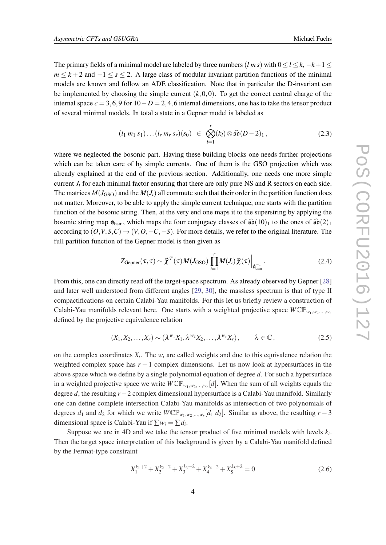<span id="page-4-0"></span>The primary fields of a minimal model are labeled by three numbers  $(l \, m \, s)$  with  $0 \le l \le k, -k+1 \le k$  $m \leq k+2$  and  $-1 \leq s \leq 2$ . A large class of modular invariant partition functions of the minimal models are known and follow an ADE classification. Note that in particular the D-invariant can be implemented by choosing the simple current  $(k,0,0)$ . To get the correct central charge of the internal space  $c = 3, 6, 9$  for  $10 - D = 2, 4, 6$  internal dimensions, one has to take the tensor product of several minimal models. In total a state in a Gepner model is labeled as

$$
(l_1\ m_1\ s_1)\dots(l_r\ m_r\ s_r)(s_0)\ \in\ \bigotimes_{i=1}^r (k_i)\otimes\widehat{\mathfrak{so}}(D-2)_1\,,\tag{2.3}
$$

where we neglected the bosonic part. Having these building blocks one needs further projections which can be taken care of by simple currents. One of them is the GSO projection which was already explained at the end of the previous section. Additionally, one needs one more simple current  $J_i$  for each minimal factor ensuring that there are only pure NS and R sectors on each side. The matrices  $M(J_{\text{GSO}})$  and the  $M(J_i)$  all commute such that their order in the partition function does not matter. Moreover, to be able to apply the simple current technique, one starts with the partition function of the bosonic string. Then, at the very end one maps it to the superstring by applying the bosonic string map  $\phi_{bsm}$ , which maps the four conjugacy classes of  $\hat{\mathfrak{so}}(10)_1$  to the ones of  $\hat{\mathfrak{so}}(2)_1$ according to  $(O, V, S, C) \rightarrow (V, O, -C, -S)$ . For more details, we refer to the original literature. The full partition function of the Gepner model is then given as

$$
Z_{\text{Gepner}}(\tau,\overline{\tau}) \sim \overline{\chi}^T(\tau) M(J_{\text{GSO}}) \prod_{i=1}^r M(J_i) \overline{\chi}(\overline{\tau}) \Big|_{\phi_{\text{bsm}}^{-1}}.
$$
 (2.4)

From this, one can directly read off the target-space spectrum. As already observed by Gepner [\[28](#page-12-0)] and later well understood from different angles [[29,](#page-12-0) [30\]](#page-12-0), the massless spectrum is that of type II compactifications on certain Calabi-Yau manifolds. For this let us briefly review a construction of Calabi-Yau manifolds relevant here. One starts with a weighted projective space  $W\mathbb{CP}_{w_1,w_2,\dots,w_r}$ defined by the projective equivalence relation

$$
(X_1, X_2, \ldots, X_r) \sim (\lambda^{w_1} X_1, \lambda^{w_2} X_2, \ldots, \lambda^{w_r} X_r), \qquad \lambda \in \mathbb{C}, \qquad (2.5)
$$

on the complex coordinates  $X_i$ . The  $w_i$  are called weights and due to this equivalence relation the weighted complex space has *r* − 1 complex dimensions. Let us now look at hypersurfaces in the above space which we define by a single polynomial equation of degree *d*. For such a hypersurface in a weighted projective space we write  $W\mathbb{CP}_{w_1,w_2,...,w_r}[d]$ . When the sum of all weights equals the degree *d*, the resulting *r*−2 complex dimensional hypersurface is a Calabi-Yau manifold. Similarly one can define complete intersection Calabi-Yau manifolds as intersection of two polynomials of degrees  $d_1$  and  $d_2$  for which we write  $W\mathbb{CP}_{w_1,w_2,...,w_r}[d_1 \, d_2]$ . Similar as above, the resulting  $r-3$ dimensional space is Calabi-Yau if  $\sum w_i = \sum d_i$ .

Suppose we are in 4D and we take the tensor product of five minimal models with levels  $k_i$ . Then the target space interpretation of this background is given by a Calabi-Yau manifold defined by the Fermat-type constraint

$$
X_1^{k_1+2} + X_2^{k_2+2} + X_3^{k_3+2} + X_4^{k_4+2} + X_5^{k_5+2} = 0
$$
\n
$$
(2.6)
$$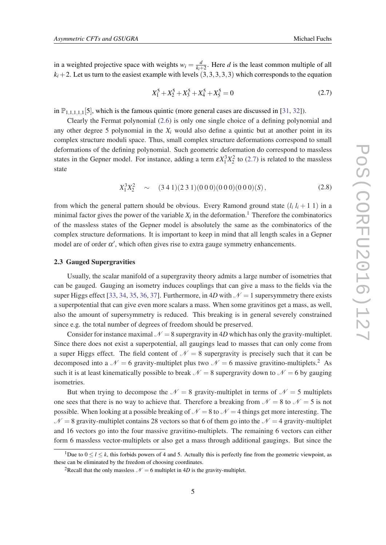in a weighted projective space with weights  $w_i = \frac{d}{k_i}$  $\frac{d}{k_i+2}$ . Here *d* is the least common multiple of all  $k_i+2$ . Let us turn to the easiest example with levels  $(3,3,3,3,3)$  which corresponds to the equation

$$
X_1^5 + X_2^5 + X_3^5 + X_4^5 + X_5^5 = 0
$$
\n(2.7)

in  $\mathbb{P}_{1,1,1,1}[5]$ , which is the famous quintic (more general cases are discussed in [\[31](#page-12-0), [32\]](#page-12-0)).

Clearly the Fermat polynomial [\(2.6](#page-4-0)) is only one single choice of a defining polynomial and any other degree 5 polynomial in the  $X_i$  would also define a quintic but at another point in its complex structure moduli space. Thus, small complex structure deformations correspond to small deformations of the defining polynomial. Such geometric deformation do correspond to massless states in the Gepner model. For instance, adding a term  $\epsilon X_1^3 X_2^2$  to (2.7) is related to the massless state

$$
X_1^3 X_2^2 \sim (3\ 4\ 1)(2\ 3\ 1)(0\ 0\ 0)(0\ 0\ 0)(0\ 0\ 0)(S), \tag{2.8}
$$

from which the general pattern should be obvious. Every Ramond ground state  $(l_i \, l_i + 1 \, 1)$  in a minimal factor gives the power of the variable  $X_i$  in the deformation.<sup>1</sup> Therefore the combinatorics of the massless states of the Gepner model is absolutely the same as the combinatorics of the complex structure deformations. It is important to keep in mind that all length scales in a Gepner model are of order  $\alpha'$ , which often gives rise to extra gauge symmetry enhancements.

#### 2.3 Gauged Supergravities

Usually, the scalar manifold of a supergravity theory admits a large number of isometries that can be gauged. Gauging an isometry induces couplings that can give a mass to the fields via the super Higgs effect [\[33,](#page-12-0) [34,](#page-12-0) [35,](#page-12-0) [36,](#page-12-0) [37\]](#page-12-0). Furthermore, in 4*D* with  $\mathcal{N} = 1$  supersymmetry there exists a superpotential that can give even more scalars a mass. When some gravitinos get a mass, as well, also the amount of supersymmetry is reduced. This breaking is in general severely constrained since e.g. the total number of degrees of freedom should be preserved.

Consider for instance maximal  $\mathcal{N} = 8$  supergravity in 4*D* which has only the gravity-multiplet. Since there does not exist a superpotential, all gaugings lead to masses that can only come from a super Higgs effect. The field content of  $\mathcal{N} = 8$  supergravity is precisely such that it can be decomposed into a  $\mathcal{N} = 6$  gravity-multiplet plus two  $\mathcal{N} = 6$  massive gravitino-multiplets.<sup>2</sup> As such it is at least kinematically possible to break  $\mathcal{N} = 8$  supergravity down to  $\mathcal{N} = 6$  by gauging isometries.

But when trying to decompose the  $\mathcal{N} = 8$  gravity-multiplet in terms of  $\mathcal{N} = 5$  multiplets one sees that there is no way to achieve that. Therefore a breaking from  $N = 8$  to  $N = 5$  is not possible. When looking at a possible breaking of  $N = 8$  to  $N = 4$  things get more interesting. The  $\mathcal{N} = 8$  gravity-multiplet contains 28 vectors so that 6 of them go into the  $\mathcal{N} = 4$  gravity-multiplet and 16 vectors go into the four massive gravitino-multiplets. The remaining 6 vectors can either form 6 massless vector-multiplets or also get a mass through additional gaugings. But since the

<sup>&</sup>lt;sup>1</sup>Due to  $0 \le l \le k$ , this forbids powers of 4 and 5. Actually this is perfectly fine from the geometric viewpoint, as these can be eliminated by the freedom of choosing coordinates.

<sup>&</sup>lt;sup>2</sup>Recall that the only massless  $\mathcal{N} = 6$  multiplet in 4*D* is the gravity-multiplet.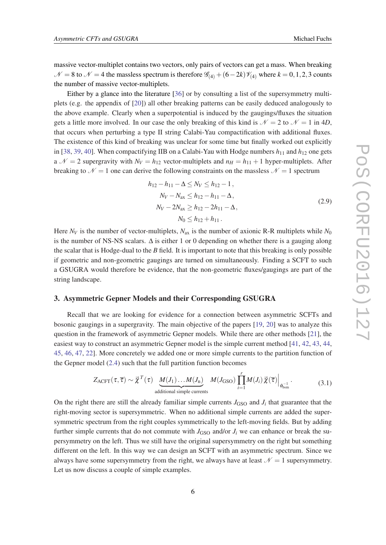<span id="page-6-0"></span>massive vector-multiplet contains two vectors, only pairs of vectors can get a mass. When breaking  $N = 8$  to  $N = 4$  the massless spectrum is therefore  $\mathcal{G}_{(4)} + (6 - 2k)\mathcal{V}_{(4)}$  where  $k = 0, 1, 2, 3$  counts the number of massive vector-multiplets.

Either by a glance into the literature [[36](#page-12-0)] or by consulting a list of the supersymmetry multiplets (e.g. the appendix of [\[20](#page-11-0)]) all other breaking patterns can be easily deduced analogously to the above example. Clearly when a superpotential is induced by the gaugings/fluxes the situation gets a little more involved. In our case the only breaking of this kind is  $\mathcal{N} = 2$  to  $\mathcal{N} = 1$  in 4*D*, that occurs when perturbing a type II string Calabi-Yau compactification with additional fluxes. The existence of this kind of breaking was unclear for some time but finally worked out explicitly in [[38,](#page-12-0) [39,](#page-12-0) [40\]](#page-12-0). When compactifying IIB on a Calabi-Yau with Hodge numbers  $h_{11}$  and  $h_{12}$  one gets a  $\mathcal{N} = 2$  supergravity with  $N_V = h_{12}$  vector-multiplets and  $n_H = h_{11} + 1$  hyper-multiplets. After breaking to  $\mathcal{N} = 1$  one can derive the following constraints on the massless  $\mathcal{N} = 1$  spectrum

$$
h_{12} - h_{11} - \Delta \le N_V \le h_{12} - 1,
$$
  
\n
$$
N_V - N_{ax} \le h_{12} - h_{11} - \Delta,
$$
  
\n
$$
N_V - 2N_{ax} \ge h_{12} - 2h_{11} - \Delta,
$$
  
\n
$$
N_0 \le h_{12} + h_{11}.
$$
\n(2.9)

Here  $N_V$  is the number of vector-multiplets,  $N_{ax}$  is the number of axionic R-R multiplets while  $N_0$ is the number of NS-NS scalars.  $\Delta$  is either 1 or 0 depending on whether there is a gauging along the scalar that is Hodge-dual to the *B* field. It is important to note that this breaking is only possible if geometric and non-geometric gaugings are turned on simultaneously. Finding a SCFT to such a GSUGRA would therefore be evidence, that the non-geometric fluxes/gaugings are part of the string landscape.

#### 3. Asymmetric Gepner Models and their Corresponding GSUGRA

Recall that we are looking for evidence for a connection between asymmetric SCFTs and bosonic gaugings in a supergravity. The main objective of the papers [\[19,](#page-11-0) [20\]](#page-11-0) was to analyze this question in the framework of asymmetric Gepner models. While there are other methods [\[21](#page-12-0)], the easiest way to construct an asymmetric Gepner model is the simple current method [[41,](#page-12-0) [42,](#page-12-0) [43](#page-13-0), [44](#page-13-0), [45](#page-13-0), [46,](#page-13-0) [47,](#page-13-0) [22](#page-12-0)]. More concretely we added one or more simple currents to the partition function of the Gepner model ([2.4](#page-4-0)) such that the full partition function becomes

$$
Z_{\text{ACFT}}(\tau,\overline{\tau}) \sim \vec{\chi}^{T}(\tau) \underbrace{M(J_{1})\dots M(J_{n})}_{\text{additional simple currents}} M(J_{\text{GSO}}) \prod_{i=1}^{r} M(J_{i}) \vec{\chi}(\overline{\tau}) \Big|_{\phi_{\text{bsm}}^{-1}}.
$$
 (3.1)

On the right there are still the already familiar simple currents  $J_{\text{GSO}}$  and  $J_i$  that guarantee that the right-moving sector is supersymmetric. When no additional simple currents are added the supersymmetric spectrum from the right couples symmetrically to the left-moving fields. But by adding further simple currents that do not commute with  $J_{\text{GSO}}$  and/or  $J_i$  we can enhance or break the supersymmetry on the left. Thus we still have the original supersymmetry on the right but something different on the left. In this way we can design an SCFT with an asymmetric spectrum. Since we always have some supersymmetry from the right, we always have at least  $\mathcal{N} = 1$  supersymmetry. Let us now discuss a couple of simple examples.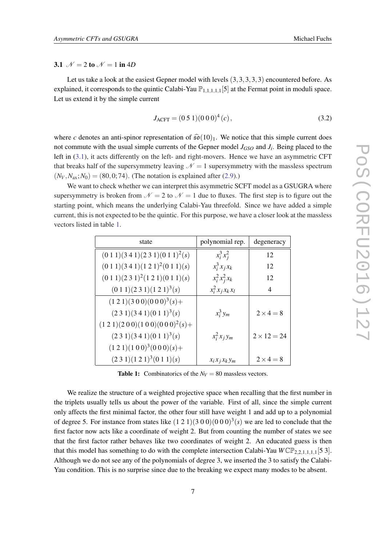#### 3.1  $\mathcal{N} = 2$  to  $\mathcal{N} = 1$  in 4*D*

Let us take a look at the easiest Gepner model with levels  $(3,3,3,3,3)$  encountered before. As explained, it corresponds to the quintic Calabi-Yau  $\mathbb{P}_{1,1,1,1,1}[5]$  at the Fermat point in moduli space. Let us extend it by the simple current

$$
J_{\text{ACFT}} = (0.5 \, 1)(0.0 \, 0)^4 \, (c) \,, \tag{3.2}
$$

where *c* denotes an anti-spinor representation of  $\hat{\mathfrak{so}}(10)_1$ . We notice that this simple current does not commute with the usual simple currents of the Gepner model  $J_{GSO}$  and  $J_i$ . Being placed to the left in ([3.1](#page-6-0)), it acts differently on the left- and right-movers. Hence we have an asymmetric CFT that breaks half of the supersymmetry leaving  $\mathcal{N} = 1$  supersymmetry with the massless spectrum  $(N_V, N_{ax}; N_0) = (80, 0; 74)$ . (The notation is explained after ([2.9](#page-6-0)).)

We want to check whether we can interpret this asymmetric SCFT model as a GSUGRA where supersymmetry is broken from  $\mathcal{N} = 2$  to  $\mathcal{N} = 1$  due to fluxes. The first step is to figure out the starting point, which means the underlying Calabi-Yau threefold. Since we have added a simple current, this is not expected to be the quintic. For this purpose, we have a closer look at the massless vectors listed in table 1.

| state                                         | polynomial rep.     | degeneracy         |
|-----------------------------------------------|---------------------|--------------------|
| $(0\ 1\ 1)(3\ 4\ 1)(2\ 3\ 1)(0\ 1\ 1)^2(s)$   | $x_i^3 x_j^2$       | 12                 |
| $(0\ 1\ 1)(3\ 4\ 1)(1\ 2\ 1)^2(0\ 1\ 1)(s)$   | $x_i^3 x_j x_k$     | 12                 |
| $(0\ 1\ 1)(2\ 3\ 1)^2(1\ 2\ 1)(0\ 1\ 1)(s)$   | $x_i^2 x_j^2 x_k$   | 12                 |
| $(0\ 1\ 1)(2\ 3\ 1)(1\ 2\ 1)^3(s)$            | $x_i^2 x_j x_k x_l$ | 4                  |
| $(1\ 2\ 1)(3\ 0\ 0)(0\ 0\ 0)^3(s) +$          |                     |                    |
| $(2\ 3\ 1)(3\ 4\ 1)(0\ 1\ 1)^3(s)$            | $x_i^3 y_m$         | $2 \times 4 = 8$   |
| $(1\ 2\ 1)(2\ 0\ 0)(1\ 0\ 0)(0\ 0\ 0)^2(s) +$ |                     |                    |
| $(2\ 3\ 1)(3\ 4\ 1)(0\ 1\ 1)^3(s)$            | $x_i^2 x_j y_m$     | $2 \times 12 = 24$ |
| $(1\ 2\ 1)(1\ 0\ 0)^3(0\ 0\ 0)(s) +$          |                     |                    |
| $(2\ 3\ 1)(1\ 2\ 1)^3(0\ 1\ 1)(s)$            | $x_i x_j x_k y_m$   | $2 \times 4 = 8$   |

**Table 1:** Combinatorics of the  $N_V = 80$  massless vectors.

We realize the structure of a weighted projective space when recalling that the first number in the triplets usually tells us about the power of the variable. First of all, since the simple current only affects the first minimal factor, the other four still have weight 1 and add up to a polynomial of degree 5. For instance from states like  $(1 2 1)(3 0 0)(0 0 0)^3$  (s) we are led to conclude that the first factor now acts like a coordinate of weight 2. But from counting the number of states we see that the first factor rather behaves like two coordinates of weight 2. An educated guess is then that this model has something to do with the complete intersection Calabi-Yau  $WCP_{2,2,1,1,1,1}[53]$ . Although we do not see any of the polynomials of degree 3, we inserted the 3 to satisfy the Calabi-Yau condition. This is no surprise since due to the breaking we expect many modes to be absent.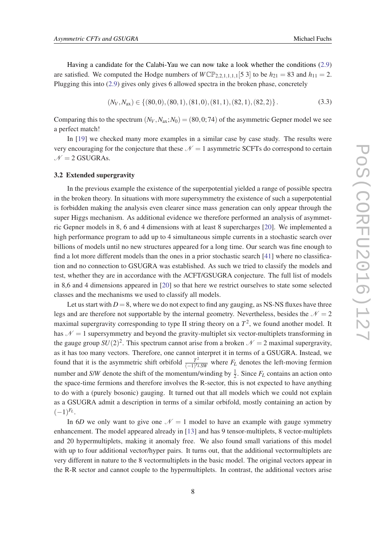Having a candidate for the Calabi-Yau we can now take a look whether the conditions ([2.9](#page-6-0)) are satisfied. We computed the Hodge numbers of  $WCP_{2,2,1,1,1,1}[5,3]$  to be  $h_{21} = 83$  and  $h_{11} = 2$ . Plugging this into [\(2.9\)](#page-6-0) gives only gives 6 allowed spectra in the broken phase, concretely

$$
(N_V, N_{\rm ax}) \in \{ (80, 0), (80, 1), (81, 0), (81, 1), (82, 1), (82, 2) \}.
$$
 (3.3)

Comparing this to the spectrum  $(N_V, N_{av}; N_0) = (80, 0; 74)$  of the asymmetric Gepner model we see a perfect match!

In [\[19\]](#page-11-0) we checked many more examples in a similar case by case study. The results were very encouraging for the conjecture that these  $N = 1$  asymmetric SCFTs do correspond to certain  $N = 2$  GSUGRAs.

#### 3.2 Extended supergravity

In the previous example the existence of the superpotential yielded a range of possible spectra in the broken theory. In situations with more supersymmetry the existence of such a superpotential is forbidden making the analysis even clearer since mass generation can only appear through the super Higgs mechanism. As additional evidence we therefore performed an analysis of asymmetric Gepner models in 8, 6 and 4 dimensions with at least 8 supercharges [[20\]](#page-11-0). We implemented a high performance program to add up to 4 simultaneous simple currents in a stochastic search over billions of models until no new structures appeared for a long time. Our search was fine enough to find a lot more different models than the ones in a prior stochastic search [[41\]](#page-12-0) where no classification and no connection to GSUGRA was established. As such we tried to classify the models and test, whether they are in accordance with the ACFT/GSUGRA conjecture. The full list of models in 8,6 and 4 dimensions appeared in [\[20](#page-11-0)] so that here we restrict ourselves to state some selected classes and the mechanisms we used to classify all models.

Let us start with  $D = 8$ , where we do not expect to find any gauging, as NS-NS fluxes have three legs and are therefore not supportable by the internal geometry. Nevertheless, besides the  $\mathcal{N} = 2$ maximal supergravity corresponding to type II string theory on a  $T^2$ , we found another model. It has  $N = 1$  supersymmetry and beyond the gravity-multiplet six vector-multiplets transforming in the gauge group  $SU(2)^2$ . This spectrum cannot arise from a broken  $\mathcal{N}=2$  maximal supergravity, as it has too many vectors. Therefore, one cannot interpret it in terms of a GSUGRA. Instead, we found that it is the asymmetric shift orbifold  $\frac{T^2}{(-1)^{F_t}}$  $\frac{T^2}{(-1)^{F_L}SW}$  where  $F_L$  denotes the left-moving fermion number and *S/W* denote the shift of the momentum/winding by  $\frac{1}{2}$ . Since  $F_L$  contains an action onto the space-time fermions and therefore involves the R-sector, this is not expected to have anything to do with a (purely bosonic) gauging. It turned out that all models which we could not explain as a GSUGRA admit a description in terms of a similar orbifold, mostly containing an action by  $(-1)^{F_L}$ .

In 6*D* we only want to give one  $\mathcal{N} = 1$  model to have an example with gauge symmetry enhancement. The model appeared already in [[13\]](#page-11-0) and has 9 tensor-multiplets, 8 vector-multiplets and 20 hypermultiplets, making it anomaly free. We also found small variations of this model with up to four additional vector/hyper pairs. It turns out, that the additional vectormultiplets are very different in nature to the 8 vectormultiplets in the basic model. The original vectors appear in the R-R sector and cannot couple to the hypermultiplets. In contrast, the additional vectors arise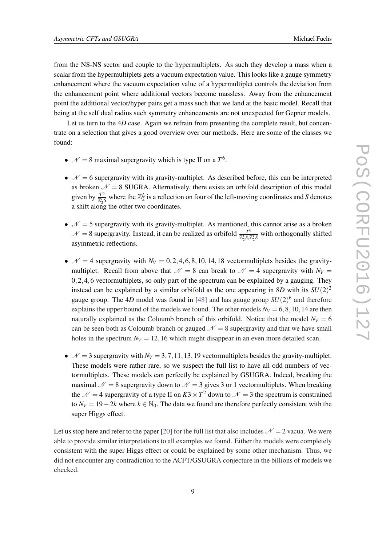from the NS-NS sector and couple to the hypermultiplets. As such they develop a mass when a scalar from the hypermultiplets gets a vacuum expectation value. This looks like a gauge symmetry enhancement where the vacuum expectation value of a hypermultiplet controls the deviation from the enhancement point where additional vectors become massless. Away from the enhancement point the additional vector/hyper pairs get a mass such that we land at the basic model. Recall that being at the self dual radius such symmetry enhancements are not unexpected for Gepner models.

Let us turn to the 4*D* case. Again we refrain from presenting the complete result, but concentrate on a selection that gives a good overview over our methods. Here are some of the classes we found:

- $\mathcal{N} = 8$  maximal supergravity which is type II on a  $T^6$ .
- $\mathcal{N} = 6$  supergravity with its gravity-multiplet. As described before, this can be interpreted as broken  $\mathcal{N} = 8$  SUGRA. Alternatively, there exists an orbifold description of this model given by  $\frac{T^6}{\sqrt{L}}$  $\frac{T^6}{\mathbb{Z}_2^L S}$  where the  $\mathbb{Z}_2^L$  is a reflection on four of the left-moving coordinates and *S* denotes a shift along the other two coordinates.
- $\mathcal{N} = 5$  supergravity with its gravity-multiplet. As mentioned, this cannot arise as a broken  $\mathcal{N}=8$  supergravity. Instead, it can be realized as orbifold  $\frac{T^6}{\sqrt{245}}$  $\frac{T^{\circ}}{\mathbb{Z}_2^L S, \mathbb{Z}_2^L \tilde{S}}$  with orthogonally shifted asymmetric reflections.
- $\mathcal{N} = 4$  supergravity with  $N_V = 0, 2, 4, 6, 8, 10, 14, 18$  vectormultiplets besides the gravitymultiplet. Recall from above that  $\mathcal{N} = 8$  can break to  $\mathcal{N} = 4$  supergravity with  $N_V =$ 0,2,4,6 vectormultiplets, so only part of the spectrum can be explained by a gauging. They instead can be explained by a similar orbifold as the one appearing in 8*D* with its  $SU(2)^2$ gauge group. The 4*D* model was found in [\[48\]](#page-13-0) and has gauge group *SU*(2) 6 and therefore explains the upper bound of the models we found. The other models  $N_V = 6, 8, 10, 14$  are then naturally explained as the Coloumb branch of this orbifold. Notice that the model  $N_V = 6$ can be seen both as Coloumb branch or gauged  $N = 8$  supergravity and that we have small holes in the spectrum  $N_V = 12,16$  which might disappear in an even more detailed scan.
- $\mathcal{N} = 3$  supergravity with  $N_V = 3, 7, 11, 13, 19$  vectormultiplets besides the gravity-multiplet. These models were rather rare, so we suspect the full list to have all odd numbers of vectormultiplets. These models can perfectly be explained by GSUGRA. Indeed, breaking the maximal  $N = 8$  supergravity down to  $N = 3$  gives 3 or 1 vectormultiplets. When breaking the  $\mathcal{N} = 4$  supergravity of a type II on  $K3 \times T^2$  down to  $\mathcal{N} = 3$  the spectrum is constrained to  $N_V = 19 - 2k$  where  $k \in \mathbb{N}_0$ . The data we found are therefore perfectly consistent with the super Higgs effect.

Let us stop here and refer to the paper [\[20](#page-11-0)] for the full list that also includes  $\mathcal{N} = 2$  vacua. We were able to provide similar interpretations to all examples we found. Either the models were completely consistent with the super Higgs effect or could be explained by some other mechanism. Thus, we did not encounter any contradiction to the ACFT/GSUGRA conjecture in the billions of models we checked.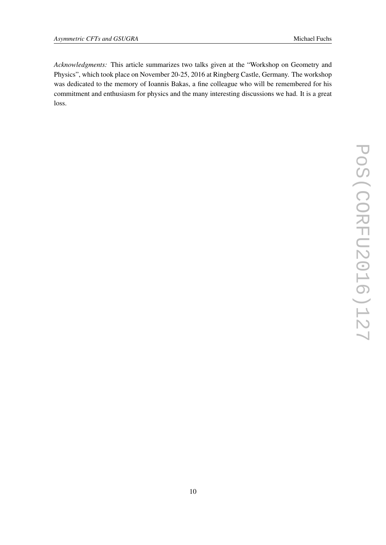*Acknowledgments:* This article summarizes two talks given at the "Workshop on Geometry and Physics", which took place on November 20-25, 2016 at Ringberg Castle, Germany. The workshop was dedicated to the memory of Ioannis Bakas, a fine colleague who will be remembered for his commitment and enthusiasm for physics and the many interesting discussions we had. It is a great loss.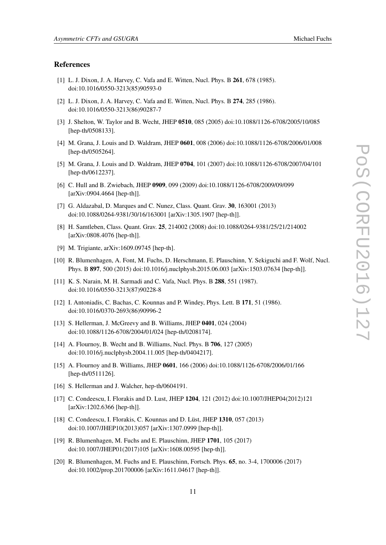#### <span id="page-11-0"></span>References

- [1] L. J. Dixon, J. A. Harvey, C. Vafa and E. Witten, Nucl. Phys. B 261, 678 (1985). doi:10.1016/0550-3213(85)90593-0
- [2] L. J. Dixon, J. A. Harvey, C. Vafa and E. Witten, Nucl. Phys. B 274, 285 (1986). doi:10.1016/0550-3213(86)90287-7
- [3] J. Shelton, W. Taylor and B. Wecht, JHEP 0510, 085 (2005) doi:10.1088/1126-6708/2005/10/085 [hep-th/0508133].
- [4] M. Grana, J. Louis and D. Waldram, JHEP 0601, 008 (2006) doi:10.1088/1126-6708/2006/01/008 [hep-th/0505264].
- [5] M. Grana, J. Louis and D. Waldram, JHEP 0704, 101 (2007) doi:10.1088/1126-6708/2007/04/101 [hep-th/0612237].
- [6] C. Hull and B. Zwiebach, JHEP 0909, 099 (2009) doi:10.1088/1126-6708/2009/09/099 [arXiv:0904.4664 [hep-th]].
- [7] G. Aldazabal, D. Marques and C. Nunez, Class. Quant. Grav. 30, 163001 (2013) doi:10.1088/0264-9381/30/16/163001 [arXiv:1305.1907 [hep-th]].
- [8] H. Samtleben, Class. Quant. Grav. 25, 214002 (2008) doi:10.1088/0264-9381/25/21/214002 [arXiv:0808.4076 [hep-th]].
- [9] M. Trigiante, arXiv:1609.09745 [hep-th].
- [10] R. Blumenhagen, A. Font, M. Fuchs, D. Herschmann, E. Plauschinn, Y. Sekiguchi and F. Wolf, Nucl. Phys. B 897, 500 (2015) doi:10.1016/j.nuclphysb.2015.06.003 [arXiv:1503.07634 [hep-th]].
- [11] K. S. Narain, M. H. Sarmadi and C. Vafa, Nucl. Phys. B 288, 551 (1987). doi:10.1016/0550-3213(87)90228-8
- [12] I. Antoniadis, C. Bachas, C. Kounnas and P. Windey, Phys. Lett. B 171, 51 (1986). doi:10.1016/0370-2693(86)90996-2
- [13] S. Hellerman, J. McGreevy and B. Williams, JHEP 0401, 024 (2004) doi:10.1088/1126-6708/2004/01/024 [hep-th/0208174].
- [14] A. Flournoy, B. Wecht and B. Williams, Nucl. Phys. B 706, 127 (2005) doi:10.1016/j.nuclphysb.2004.11.005 [hep-th/0404217].
- [15] A. Flournoy and B. Williams, JHEP 0601, 166 (2006) doi:10.1088/1126-6708/2006/01/166 [hep-th/0511126].
- [16] S. Hellerman and J. Walcher, hep-th/0604191.
- [17] C. Condeescu, I. Florakis and D. Lust, JHEP 1204, 121 (2012) doi:10.1007/JHEP04(2012)121 [arXiv:1202.6366 [hep-th]].
- [18] C. Condeescu, I. Florakis, C. Kounnas and D. Lüst, JHEP 1310, 057 (2013) doi:10.1007/JHEP10(2013)057 [arXiv:1307.0999 [hep-th]].
- [19] R. Blumenhagen, M. Fuchs and E. Plauschinn, JHEP 1701, 105 (2017) doi:10.1007/JHEP01(2017)105 [arXiv:1608.00595 [hep-th]].
- [20] R. Blumenhagen, M. Fuchs and E. Plauschinn, Fortsch. Phys. 65, no. 3-4, 1700006 (2017) doi:10.1002/prop.201700006 [arXiv:1611.04617 [hep-th]].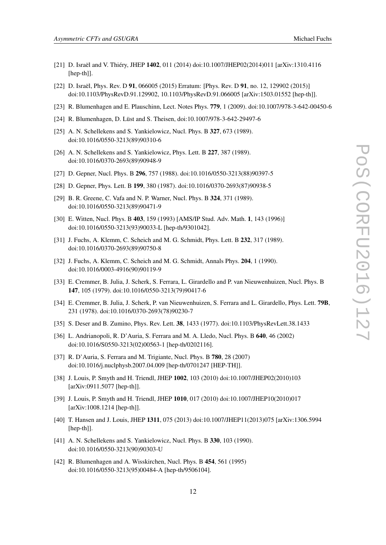- <span id="page-12-0"></span>[21] D. Israël and V. Thiéry, JHEP 1402, 011 (2014) doi:10.1007/JHEP02(2014)011 [arXiv:1310.4116 [hep-th]].
- [22] D. Israël, Phys. Rev. D 91, 066005 (2015) Erratum: [Phys. Rev. D 91, no. 12, 129902 (2015)] doi:10.1103/PhysRevD.91.129902, 10.1103/PhysRevD.91.066005 [arXiv:1503.01552 [hep-th]].
- [23] R. Blumenhagen and E. Plauschinn, Lect. Notes Phys. 779, 1 (2009). doi:10.1007/978-3-642-00450-6
- [24] R. Blumenhagen, D. Lüst and S. Theisen, doi:10.1007/978-3-642-29497-6
- [25] A. N. Schellekens and S. Yankielowicz, Nucl. Phys. B 327, 673 (1989). doi:10.1016/0550-3213(89)90310-6
- [26] A. N. Schellekens and S. Yankielowicz, Phys. Lett. B 227, 387 (1989). doi:10.1016/0370-2693(89)90948-9
- [27] D. Gepner, Nucl. Phys. B 296, 757 (1988). doi:10.1016/0550-3213(88)90397-5
- [28] D. Gepner, Phys. Lett. B 199, 380 (1987). doi:10.1016/0370-2693(87)90938-5
- [29] B. R. Greene, C. Vafa and N. P. Warner, Nucl. Phys. B 324, 371 (1989). doi:10.1016/0550-3213(89)90471-9
- [30] E. Witten, Nucl. Phys. B 403, 159 (1993) [AMS/IP Stud. Adv. Math. 1, 143 (1996)] doi:10.1016/0550-3213(93)90033-L [hep-th/9301042].
- [31] J. Fuchs, A. Klemm, C. Scheich and M. G. Schmidt, Phys. Lett. B 232, 317 (1989). doi:10.1016/0370-2693(89)90750-8
- [32] J. Fuchs, A. Klemm, C. Scheich and M. G. Schmidt, Annals Phys. **204**, 1 (1990). doi:10.1016/0003-4916(90)90119-9
- [33] E. Cremmer, B. Julia, J. Scherk, S. Ferrara, L. Girardello and P. van Nieuwenhuizen, Nucl. Phys. B 147, 105 (1979). doi:10.1016/0550-3213(79)90417-6
- [34] E. Cremmer, B. Julia, J. Scherk, P. van Nieuwenhuizen, S. Ferrara and L. Girardello, Phys. Lett. 79B, 231 (1978). doi:10.1016/0370-2693(78)90230-7
- [35] S. Deser and B. Zumino, Phys. Rev. Lett. 38, 1433 (1977). doi:10.1103/PhysRevLett.38.1433
- [36] L. Andrianopoli, R. D'Auria, S. Ferrara and M. A. Lledo, Nucl. Phys. B 640, 46 (2002) doi:10.1016/S0550-3213(02)00563-1 [hep-th/0202116].
- [37] R. D'Auria, S. Ferrara and M. Trigiante, Nucl. Phys. B 780, 28 (2007) doi:10.1016/j.nuclphysb.2007.04.009 [hep-th/0701247 [HEP-TH]].
- [38] J. Louis, P. Smyth and H. Triendl, JHEP 1002, 103 (2010) doi:10.1007/JHEP02(2010)103 [arXiv:0911.5077 [hep-th]].
- [39] J. Louis, P. Smyth and H. Triendl, JHEP 1010, 017 (2010) doi:10.1007/JHEP10(2010)017 [arXiv:1008.1214 [hep-th]].
- [40] T. Hansen and J. Louis, JHEP 1311, 075 (2013) doi:10.1007/JHEP11(2013)075 [arXiv:1306.5994 [hep-th]].
- [41] A. N. Schellekens and S. Yankielowicz, Nucl. Phys. B 330, 103 (1990). doi:10.1016/0550-3213(90)90303-U
- [42] R. Blumenhagen and A. Wisskirchen, Nucl. Phys. B 454, 561 (1995) doi:10.1016/0550-3213(95)00484-A [hep-th/9506104].